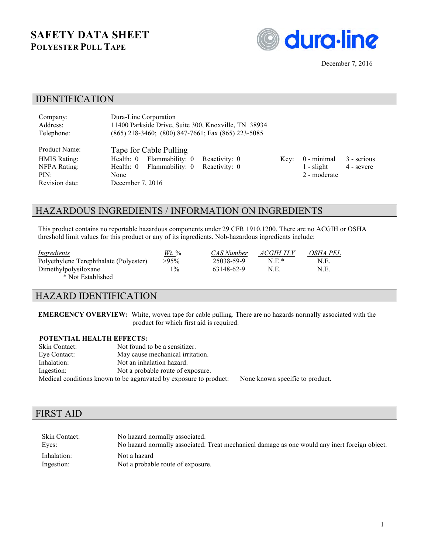# **SAFETY DATA SHEET POLYESTER PULL TAPE**



## IDENTIFICATION

| Company:            | Dura-Line Corporation                                    |               |      |               |             |
|---------------------|----------------------------------------------------------|---------------|------|---------------|-------------|
| Address:            | 11400 Parkside Drive, Suite 300, Knoxville, TN 38934     |               |      |               |             |
| Telephone:          | $(865)$ 218-3460; $(800)$ 847-7661; Fax $(865)$ 223-5085 |               |      |               |             |
| Product Name:       | Tape for Cable Pulling                                   |               |      |               |             |
| <b>HMIS Rating:</b> | Flammability: 0<br>Health: 0                             | Reactivity: 0 | Key: | $0$ - minimal | 3 - serious |
| NFPA Rating:        | Flammability: 0<br>Health: 0                             | Reactivity: 0 |      | $1 -$ slight  | 4 - severe  |
| PIN:                | None                                                     |               |      | 2 - moderate  |             |
| Revision date:      | December $7, 2016$                                       |               |      |               |             |

# HAZARDOUS INGREDIENTS / INFORMATION ON INGREDIENTS

This product contains no reportable hazardous components under 29 CFR 1910.1200. There are no ACGIH or OSHA threshold limit values for this product or any of its ingredients. Nob-hazardous ingredients include:

| Ingredients                            | $Wt$ . % | CAS Number | ACGIH TLV | OSHA PEL |
|----------------------------------------|----------|------------|-----------|----------|
| Polyethylene Terephthalate (Polyester) | $>95\%$  | 25038-59-9 | $N \to *$ | N.E.     |
| Dimethylpolysiloxane                   | $1\%$    | 63148-62-9 | N.E.      | N.E.     |
| * Not Established                      |          |            |           |          |

#### HAZARD IDENTIFICATION

**EMERGENCY OVERVIEW:** White, woven tape for cable pulling. There are no hazards normally associated with the product for which first aid is required.

#### **POTENTIAL HEALTH EFFECTS:**

| Skin Contact: | Not found to be a sensitizer.                                     |                                 |
|---------------|-------------------------------------------------------------------|---------------------------------|
| Eye Contact:  | May cause mechanical irritation.                                  |                                 |
| Inhalation:   | Not an inhalation hazard.                                         |                                 |
| Ingestion:    | Not a probable route of exposure.                                 |                                 |
|               | Medical conditions known to be aggravated by exposure to product: | None known specific to product. |

#### FIRST AID

| Skin Contact: | No hazard normally associated.                                                                |
|---------------|-----------------------------------------------------------------------------------------------|
| Eves:         | No hazard normally associated. Treat mechanical damage as one would any inert foreign object. |
| Inhalation:   | Not a hazard                                                                                  |
| Ingestion:    | Not a probable route of exposure.                                                             |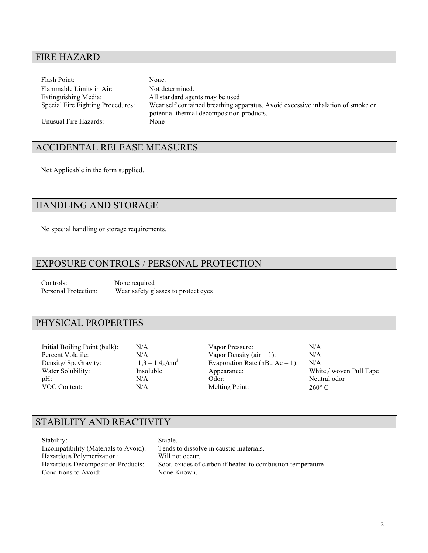# FIRE HAZARD

Flash Point: None. Flammable Limits in Air: Not determined. Extinguishing Media: All standard agents may be used Special Fire Fighting Procedures: Wear self contained breathing apparatus. Avoid excessive inhalation of smoke or potential thermal decomposition products. Unusual Fire Hazards: None

# ACCIDENTAL RELEASE MEASURES

Not Applicable in the form supplied.

## HANDLING AND STORAGE

No special handling or storage requirements.

# EXPOSURE CONTROLS / PERSONAL PROTECTION

Controls: None required<br>Personal Protection: Wear safety gl Wear safety glasses to protect eyes

#### PHYSICAL PROPERTIES

Initial Boiling Point (bulk): N/A Vapor Pressure: N/A Percent Volatile:  $N/A$  Vapor Density (air = 1):  $N/A$ Density/ Sp. Gravity:  $1,3 - 1.4$  g/cm<sup>3</sup> Evaporation Rate (nBu Ac = 1): N/A Water Solubility: Insoluble Appearance: White,/ woven Pull Tape pH:  $N/A$  Odor: Neutral odor<br>VOC Content:  $N/A$  Odor:  $N/A$  Nelting Point: 260° C  $N/A$  Melting Point: 260° C

# STABILITY AND REACTIVITY

| Stability:                               | Stable.                                                    |
|------------------------------------------|------------------------------------------------------------|
| Incompatibility (Materials to Avoid):    | Tends to dissolve in caustic materials.                    |
| Hazardous Polymerization:                | Will not occur.                                            |
| <b>Hazardous Decomposition Products:</b> | Soot, oxides of carbon if heated to combustion temperature |
| Conditions to Avoid:                     | None Known.                                                |